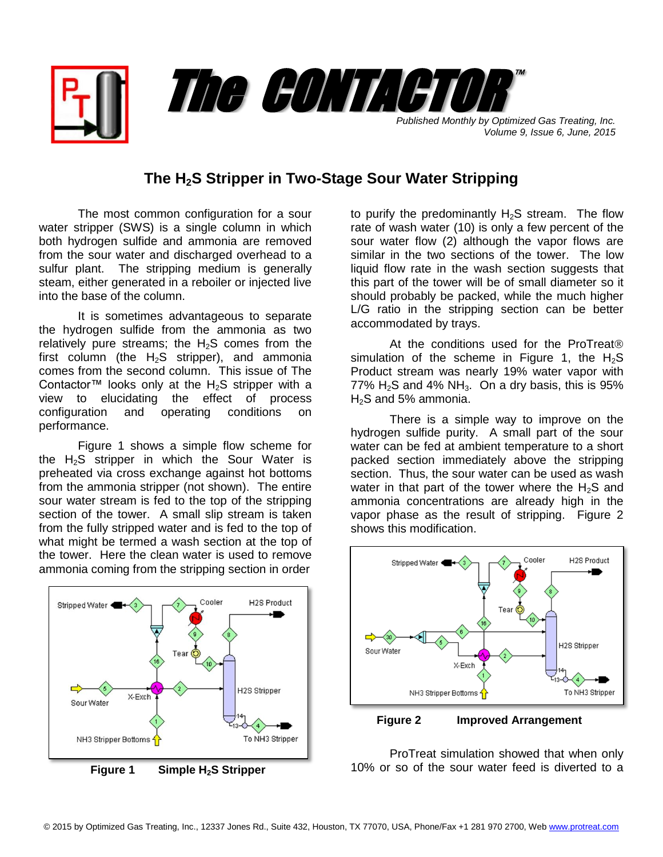

*Volume 9, Issue 6, June, 2015*

## **The H2S Stripper in Two-Stage Sour Water Stripping**

The most common configuration for a sour water stripper (SWS) is a single column in which both hydrogen sulfide and ammonia are removed from the sour water and discharged overhead to a sulfur plant. The stripping medium is generally steam, either generated in a reboiler or injected live into the base of the column.

It is sometimes advantageous to separate the hydrogen sulfide from the ammonia as two relatively pure streams; the  $H_2S$  comes from the first column (the  $H_2S$  stripper), and ammonia comes from the second column. This issue of The Contactor™ looks only at the H<sub>2</sub>S stripper with a view to elucidating the effect of process configuration and operating conditions on performance.

Figure 1 shows a simple flow scheme for the  $H_2S$  stripper in which the Sour Water is preheated via cross exchange against hot bottoms from the ammonia stripper (not shown). The entire sour water stream is fed to the top of the stripping section of the tower. A small slip stream is taken from the fully stripped water and is fed to the top of what might be termed a wash section at the top of the tower. Here the clean water is used to remove ammonia coming from the stripping section in order



 **Figure 1 Simple H2S Stripper**

to purify the predominantly  $H_2S$  stream. The flow rate of wash water (10) is only a few percent of the sour water flow (2) although the vapor flows are similar in the two sections of the tower. The low liquid flow rate in the wash section suggests that this part of the tower will be of small diameter so it should probably be packed, while the much higher L/G ratio in the stripping section can be better accommodated by trays.

At the conditions used for the ProTreat<sup>®</sup> simulation of the scheme in Figure 1, the  $H_2S$ Product stream was nearly 19% water vapor with 77%  $H_2S$  and 4% NH<sub>3</sub>. On a dry basis, this is 95%  $H<sub>2</sub>S$  and 5% ammonia.

There is a simple way to improve on the hydrogen sulfide purity. A small part of the sour water can be fed at ambient temperature to a short packed section immediately above the stripping section. Thus, the sour water can be used as wash water in that part of the tower where the  $H_2S$  and ammonia concentrations are already high in the vapor phase as the result of stripping. Figure 2 shows this modification.



 **Figure 2 Improved Arrangement**

ProTreat simulation showed that when only 10% or so of the sour water feed is diverted to a